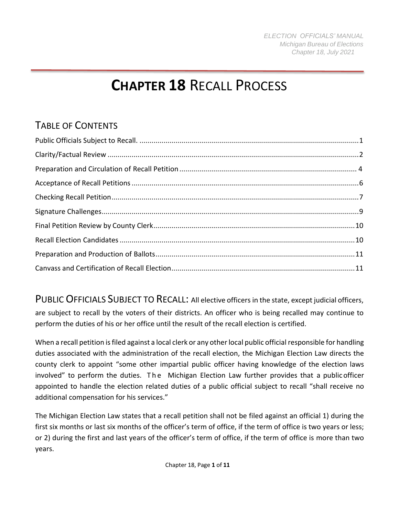# **CHAPTER 18** RECALL PROCESS

# TABLE OF CONTENTS

<span id="page-0-0"></span>PUBLIC OFFICIALS SUBJECT TO RECALL: All elective officers in the state, except judicial officers, are subject to recall by the voters of their districts. An officer who is being recalled may continue to perform the duties of his or her office until the result of the recall election is certified.

When a recall petition is filed against a local clerk or any other local public official responsible for handling duties associated with the administration of the recall election, the Michigan Election Law directs the county clerk to appoint "some other impartial public officer having knowledge of the election laws involved" to perform the duties. The Michigan Election Law further provides that a public officer appointed to handle the election related duties of a public official subject to recall "shall receive no additional compensation for his services."

The Michigan Election Law states that a recall petition shall not be filed against an official 1) during the first six months or last six months of the officer's term of office, if the term of office is two years or less; or 2) during the first and last years of the officer's term of office, if the term of office is more than two years.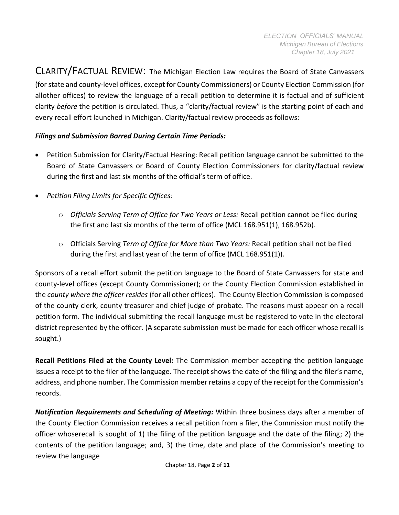<span id="page-1-0"></span>CLARITY/FACTUAL REVIEW: The Michigan Election Law requires the Board of State Canvassers (for state and county-level offices, except for County Commissioners) or County Election Commission (for allother offices) to review the language of a recall petition to determine it is factual and of sufficient clarity *before* the petition is circulated. Thus, a "clarity/factual review" is the starting point of each and every recall effort launched in Michigan. Clarity/factual review proceeds as follows:

#### *Filings and Submission Barred During Certain Time Periods:*

- Petition Submission for Clarity/Factual Hearing: Recall petition language cannot be submitted to the Board of State Canvassers or Board of County Election Commissioners for clarity/factual review during the first and last six months of the official's term of office.
- *Petition Filing Limits for Specific Offices:*
	- o *Officials Serving Term of Office for Two Years or Less:* Recall petition cannot be filed during the first and last six months of the term of office (MCL 168.951(1), 168.952b).
	- o Officials Serving *Term of Office for More than Two Years:* Recall petition shall not be filed during the first and last year of the term of office (MCL 168.951(1)).

Sponsors of a recall effort submit the petition language to the Board of State Canvassers for state and county-level offices (except County Commissioner); or the County Election Commission established in the *county where the officer resides* (for all other offices). The County Election Commission is composed of the county clerk, county treasurer and chief judge of probate. The reasons must appear on a recall petition form. The individual submitting the recall language must be registered to vote in the electoral district represented by the officer. (A separate submission must be made for each officer whose recall is sought.)

**Recall Petitions Filed at the County Level:** The Commission member accepting the petition language issues a receipt to the filer of the language. The receipt shows the date of the filing and the filer's name, address, and phone number. The Commission member retains a copy of the receipt for the Commission's records.

*Notification Requirements and Scheduling of Meeting:* Within three business days after a member of the County Election Commission receives a recall petition from a filer, the Commission must notify the officer whoserecall is sought of 1) the filing of the petition language and the date of the filing; 2) the contents of the petition language; and, 3) the time, date and place of the Commission's meeting to review the language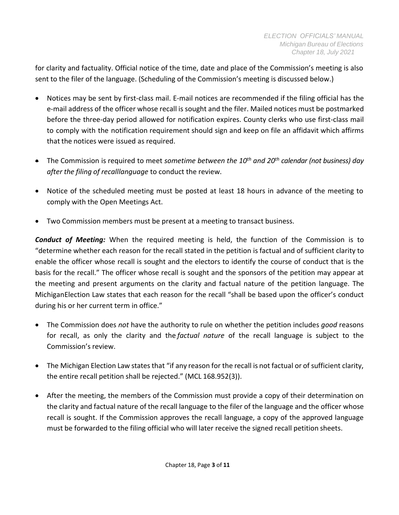for clarity and factuality. Official notice of the time, date and place of the Commission's meeting is also sent to the filer of the language. (Scheduling of the Commission's meeting is discussed below.)

- Notices may be sent by first-class mail. E-mail notices are recommended if the filing official has the e-mail address of the officer whose recall is sought and the filer. Mailed notices must be postmarked before the three-day period allowed for notification expires. County clerks who use first-class mail to comply with the notification requirement should sign and keep on file an affidavit which affirms that the notices were issued as required.
- The Commission is required to meet *sometime between the 10th and 20th calendar (not business) day after the filing of recalllanguage* to conduct the review.
- Notice of the scheduled meeting must be posted at least 18 hours in advance of the meeting to comply with the Open Meetings Act.
- Two Commission members must be present at a meeting to transact business.

*Conduct of Meeting:* When the required meeting is held, the function of the Commission is to "determine whether each reason for the recall stated in the petition is factual and of sufficient clarity to enable the officer whose recall is sought and the electors to identify the course of conduct that is the basis for the recall." The officer whose recall is sought and the sponsors of the petition may appear at the meeting and present arguments on the clarity and factual nature of the petition language. The MichiganElection Law states that each reason for the recall "shall be based upon the officer's conduct during his or her current term in office."

- The Commission does *not* have the authority to rule on whether the petition includes *good* reasons for recall, as only the clarity and the *factual nature* of the recall language is subject to the Commission's review.
- The Michigan Election Law states that "if any reason for the recall is not factual or of sufficient clarity, the entire recall petition shall be rejected." (MCL 168.952(3)).
- After the meeting, the members of the Commission must provide a copy of their determination on the clarity and factual nature of the recall language to the filer of the language and the officer whose recall is sought. If the Commission approves the recall language, a copy of the approved language must be forwarded to the filing official who will later receive the signed recall petition sheets.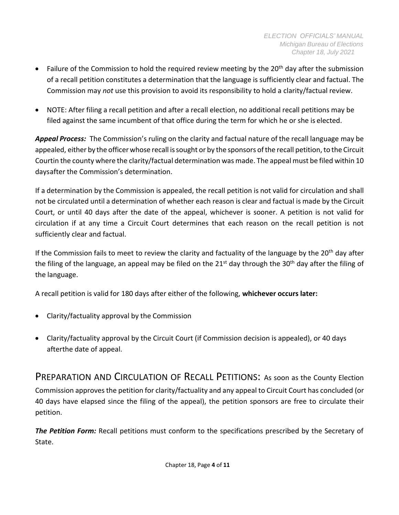- Failure of the Commission to hold the required review meeting by the 20<sup>th</sup> day after the submission of a recall petition constitutes a determination that the language is sufficiently clear and factual. The Commission may *not* use this provision to avoid its responsibility to hold a clarity/factual review.
- NOTE: After filing a recall petition and after a recall election, no additional recall petitions may be filed against the same incumbent of that office during the term for which he or she is elected.

*Appeal Process:* The Commission's ruling on the clarity and factual nature of the recall language may be appealed, either by the officer whose recall is sought or by the sponsors of the recall petition, to the Circuit Courtin the county where the clarity/factual determination was made. The appeal must be filed within 10 days after the Commission's determination.

If a determination by the Commission is appealed, the recall petition is not valid for circulation and shall not be circulated until a determination of whether each reason is clear and factual is made by the Circuit Court, or until 40 days after the date of the appeal, whichever is sooner. A petition is not valid for circulation if at any time a Circuit Court determines that each reason on the recall petition is not sufficiently clear and factual.

If the Commission fails to meet to review the clarity and factuality of the language by the  $20<sup>th</sup>$  day after the filing of the language, an appeal may be filed on the 21<sup>st</sup> day through the 30<sup>th</sup> day after the filing of the language.

A recall petition is valid for 180 days after either of the following, **whichever occurs later:**

- Clarity/factuality approval by the Commission
- Clarity/factuality approval by the Circuit Court (if Commission decision is appealed), or 40 days afterthe date of appeal.

<span id="page-3-0"></span>PREPARATION AND CIRCULATION OF RECALL PETITIONS: As soon as the County Election Commission approves the petition for clarity/factuality and any appeal to Circuit Court has concluded (or 40 days have elapsed since the filing of the appeal), the petition sponsors are free to circulate their petition.

*The Petition Form:* Recall petitions must conform to the specifications prescribed by the Secretary of State.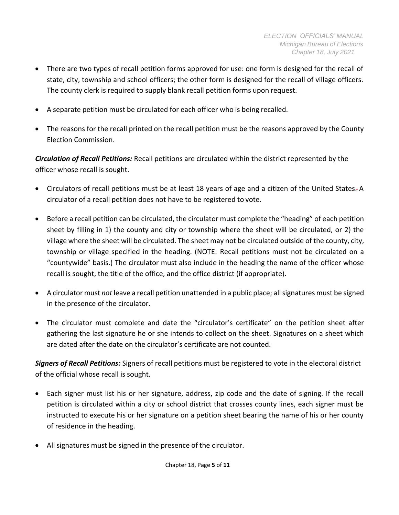- There are two types of recall petition forms approved for use: one form is designed for the recall of state, city, township and school officers; the other form is designed for the recall of village officers. The county clerk is required to supply blank recall petition forms upon request.
- A separate petition must be circulated for each officer who is being recalled.
- The reasons for the recall printed on the recall petition must be the reasons approved by the County Election Commission.

*Circulation of Recall Petitions:* Recall petitions are circulated within the district represented by the officer whose recall is sought.

- Circulators of recall petitions must be at least 18 years of age and a citizen of the United States. A circulator of a recall petition does not have to be registered to vote.
- Before a recall petition can be circulated, the circulator must complete the "heading" of each petition sheet by filling in 1) the county and city or township where the sheet will be circulated, or 2) the village where the sheet will be circulated. The sheet may not be circulated outside of the county, city, township or village specified in the heading. (NOTE: Recall petitions must not be circulated on a "countywide" basis.) The circulator must also include in the heading the name of the officer whose recall is sought, the title of the office, and the office district (if appropriate).
- A circulator must *not* leave a recall petition unattended in a public place; allsignatures must be signed in the presence of the circulator.
- The circulator must complete and date the "circulator's certificate" on the petition sheet after gathering the last signature he or she intends to collect on the sheet. Signatures on a sheet which are dated after the date on the circulator's certificate are not counted.

*Signers of Recall Petitions:* Signers of recall petitions must be registered to vote in the electoral district of the official whose recall is sought.

- Each signer must list his or her signature, address, zip code and the date of signing. If the recall petition is circulated within a city or school district that crosses county lines, each signer must be instructed to execute his or her signature on a petition sheet bearing the name of his or her county of residence in the heading.
- All signatures must be signed in the presence of the circulator.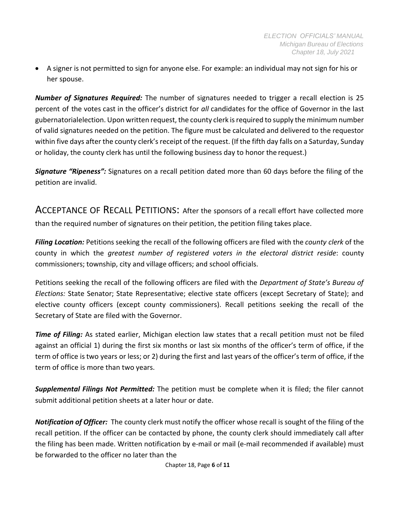• A signer is not permitted to sign for anyone else. For example: an individual may not sign for his or her spouse.

*Number of Signatures Required:* The number of signatures needed to trigger a recall election is 25 percent of the votes cast in the officer's district for *all* candidates for the office of Governor in the last gubernatorialelection. Upon written request, the county clerk is required to supply the minimum number of valid signatures needed on the petition. The figure must be calculated and delivered to the requestor within five days after the county clerk's receipt of the request. (If the fifth day falls on a Saturday, Sunday or holiday, the county clerk has until the following business day to honor the request.)

*Signature "Ripeness":* Signatures on a recall petition dated more than 60 days before the filing of the petition are invalid.

<span id="page-5-0"></span>ACCEPTANCE OF RECALL PETITIONS: After the sponsors of a recall effort have collected more than the required number of signatures on their petition, the petition filing takes place.

*Filing Location:* Petitions seeking the recall of the following officers are filed with the *county clerk* of the county in which the *greatest number of registered voters in the electoral district reside*: county commissioners; township, city and village officers; and school officials.

Petitions seeking the recall of the following officers are filed with the *Department of State's Bureau of Elections:* State Senator; State Representative; elective state officers (except Secretary of State); and elective county officers (except county commissioners). Recall petitions seeking the recall of the Secretary of State are filed with the Governor.

*Time of Filing:* As stated earlier, Michigan election law states that a recall petition must not be filed against an official 1) during the first six months or last six months of the officer's term of office, if the term of office istwo years or less; or 2) during the first and last years of the officer's term of office, if the term of office is more than two years.

*Supplemental Filings Not Permitted:* The petition must be complete when it is filed; the filer cannot submit additional petition sheets at a later hour or date.

*Notification of Officer:* The county clerk must notify the officer whose recall is sought of the filing of the recall petition. If the officer can be contacted by phone, the county clerk should immediately call after the filing has been made. Written notification by e-mail or mail (e-mail recommended if available) must be forwarded to the officer no later than the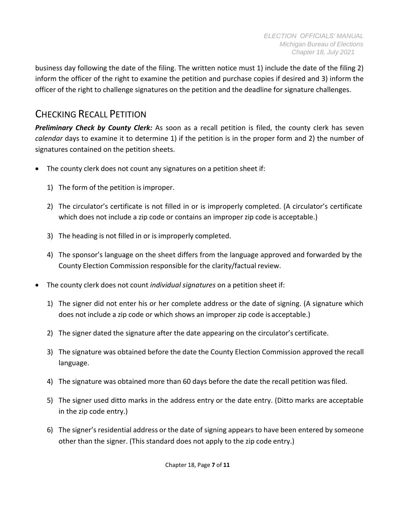business day following the date of the filing. The written notice must 1) include the date of the filing 2) inform the officer of the right to examine the petition and purchase copies if desired and 3) inform the officer of the right to challenge signatures on the petition and the deadline for signature challenges.

#### <span id="page-6-0"></span>CHECKING RECALL PETITION

*Preliminary Check by County Clerk:* As soon as a recall petition is filed, the county clerk has seven *calendar* days to examine it to determine 1) if the petition is in the proper form and 2) the number of signatures contained on the petition sheets.

- The county clerk does not count any signatures on a petition sheet if:
	- 1) The form of the petition isimproper.
	- 2) The circulator's certificate is not filled in or is improperly completed. (A circulator's certificate which does not include a zip code or contains an improper zip code is acceptable.)
	- 3) The heading is not filled in or is improperly completed.
	- 4) The sponsor's language on the sheet differs from the language approved and forwarded by the County Election Commission responsible for the clarity/factual review.
- The county clerk does not count *individual signatures* on a petition sheet if:
	- 1) The signer did not enter his or her complete address or the date of signing. (A signature which does not include a zip code or which shows an improper zip code is acceptable.)
	- 2) The signer dated the signature after the date appearing on the circulator's certificate.
	- 3) The signature was obtained before the date the County Election Commission approved the recall language.
	- 4) The signature was obtained more than 60 days before the date the recall petition was filed.
	- 5) The signer used ditto marks in the address entry or the date entry. (Ditto marks are acceptable in the zip code entry.)
	- 6) The signer's residential address or the date of signing appears to have been entered by someone other than the signer. (This standard does not apply to the zip code entry.)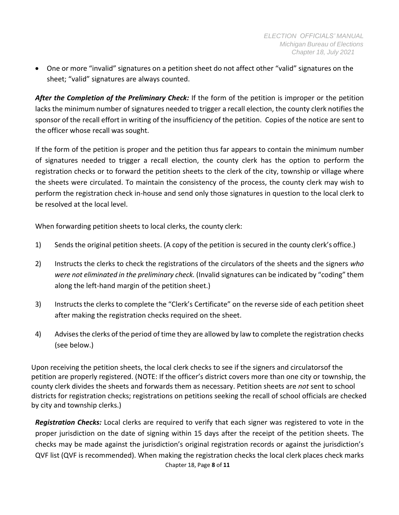• One or more "invalid" signatures on a petition sheet do not affect other "valid" signatures on the sheet; "valid" signatures are always counted.

*After the Completion of the Preliminary Check:* If the form of the petition is improper or the petition lacks the minimum number of signatures needed to trigger a recall election, the county clerk notifies the sponsor of the recall effort in writing of the insufficiency of the petition. Copies of the notice are sent to the officer whose recall was sought.

If the form of the petition is proper and the petition thus far appears to contain the minimum number of signatures needed to trigger a recall election, the county clerk has the option to perform the registration checks or to forward the petition sheets to the clerk of the city, township or village where the sheets were circulated. To maintain the consistency of the process, the county clerk may wish to perform the registration check in-house and send only those signatures in question to the local clerk to be resolved at the local level.

When forwarding petition sheets to local clerks, the county clerk:

- 1) Sends the original petition sheets. (A copy of the petition is secured in the county clerk's office.)
- 2) Instructs the clerks to check the registrations of the circulators of the sheets and the signers *who were not eliminated in the preliminary check.* (Invalid signatures can be indicated by "coding" them along the left-hand margin of the petition sheet.)
- 3) Instructsthe clerks to complete the "Clerk's Certificate" on the reverse side of each petition sheet after making the registration checks required on the sheet.
- 4) Advisesthe clerks ofthe period of time they are allowed by law to complete the registration checks (see below.)

Upon receiving the petition sheets, the local clerk checks to see if the signers and circulatorsof the petition are properly registered. (NOTE: If the officer's district covers more than one city or township, the county clerk divides the sheets and forwards them as necessary. Petition sheets are *not* sent to school districts for registration checks; registrations on petitions seeking the recall of school officials are checked by city and township clerks.)

Chapter 18, Page **8** of **11** *Registration Checks:* Local clerks are required to verify that each signer was registered to vote in the proper jurisdiction on the date of signing within 15 days after the receipt of the petition sheets. The checks may be made against the jurisdiction's original registration records or against the jurisdiction's QVF list (QVF is recommended). When making the registration checks the local clerk places check marks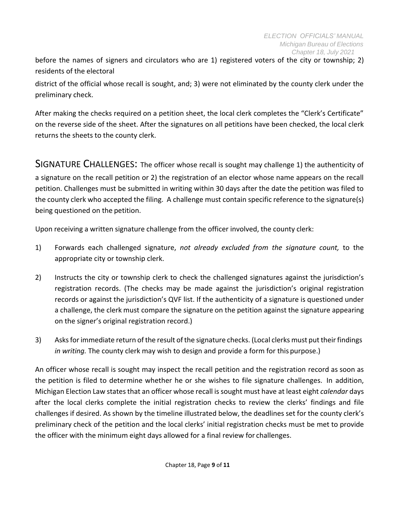before the names of signers and circulators who are 1) registered voters of the city or township; 2) residents of the electoral

district of the official whose recall is sought, and; 3) were not eliminated by the county clerk under the preliminary check.

After making the checks required on a petition sheet, the local clerk completes the "Clerk's Certificate" on the reverse side of the sheet. After the signatures on all petitions have been checked, the local clerk returns the sheets to the county clerk.

<span id="page-8-0"></span>SIGNATURE CHALLENGES: The officer whose recall is sought may challenge 1) the authenticity of a signature on the recall petition or 2) the registration of an elector whose name appears on the recall petition. Challenges must be submitted in writing within 30 days after the date the petition was filed to the county clerk who accepted the filing. A challenge must contain specific reference to the signature(s) being questioned on the petition.

Upon receiving a written signature challenge from the officer involved, the county clerk:

- 1) Forwards each challenged signature, *not already excluded from the signature count,* to the appropriate city or township clerk.
- 2) Instructs the city or township clerk to check the challenged signatures against the jurisdiction's registration records. (The checks may be made against the jurisdiction's original registration records or against the jurisdiction's QVF list. If the authenticity of a signature is questioned under a challenge, the clerk must compare the signature on the petition against the signature appearing on the signer's original registration record.)
- 3) Asks for immediate return of the result of the signature checks. (Local clerks must put their findings *in writing.* The county clerk may wish to design and provide a form for this purpose.)

An officer whose recall is sought may inspect the recall petition and the registration record as soon as the petition is filed to determine whether he or she wishes to file signature challenges. In addition, Michigan Election Law states that an officer whose recall is sought must have at least eight *calendar* days after the local clerks complete the initial registration checks to review the clerks' findings and file challenges if desired. As shown by the timeline illustrated below, the deadlines set for the county clerk's preliminary check of the petition and the local clerks' initial registration checks must be met to provide the officer with the minimum eight days allowed for a final review for challenges.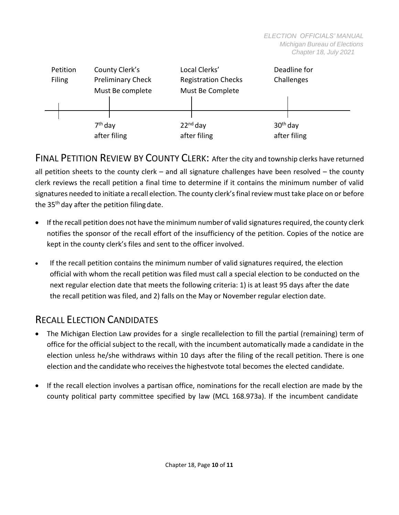

<span id="page-9-0"></span>FINAL PETITION REVIEW BY COUNTY CLERK: After the city and township clerks have returned all petition sheets to the county clerk – and all signature challenges have been resolved – the county clerk reviews the recall petition a final time to determine if it contains the minimum number of valid signatures needed to initiate a recall election. The county clerk's final review must take place on or before the  $35<sup>th</sup>$  day after the petition filing date.

- If the recall petition does not have the minimum number of valid signatures required, the county clerk notifies the sponsor of the recall effort of the insufficiency of the petition. Copies of the notice are kept in the county clerk's files and sent to the officer involved.
- If the recall petition contains the minimum number of valid signatures required, the election official with whom the recall petition was filed must call a special election to be conducted on the next regular election date that meets the following criteria: 1) is at least 95 days after the date the recall petition was filed, and 2) falls on the May or November regular election date.

## <span id="page-9-1"></span>RECALL ELECTION CANDIDATES

- The Michigan Election Law provides for a single recallelection to fill the partial (remaining) term of office for the official subject to the recall, with the incumbent automatically made a candidate in the election unless he/she withdraws within 10 days after the filing of the recall petition. There is one election and the candidate who receives the highestvote total becomes the elected candidate.
- If the recall election involves a partisan office, nominations for the recall election are made by the county political party committee specified by law (MCL 168.973a). If the incumbent candidate